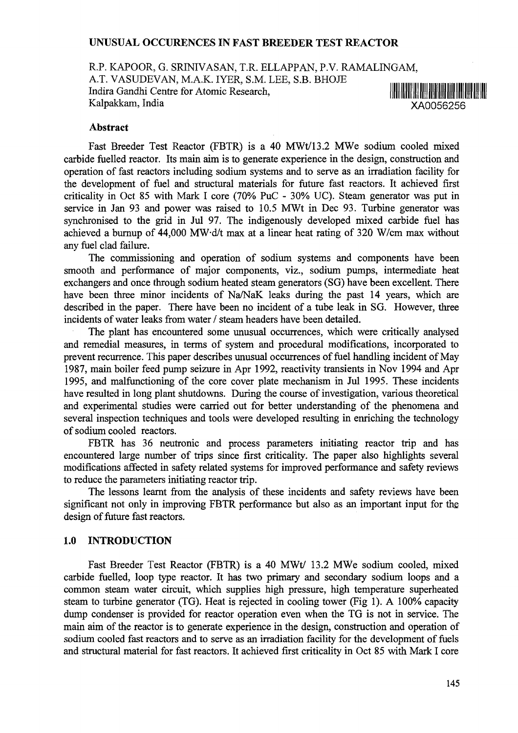### UNUSUAL OCCURENCES **IN** FAST **BREEDER** TEST REACTOR

R.P. KAPOOR, G. SRINIVASAN, T.R. ELLAPPAN, P.V. RAMALINGAM, A.T. VASUDEVAN, M.A.K. IYER, S.M. LEE, S.B. BHOJE Indira Gandhi Centre for Atomic Research, Kalpakkam, India XA0056256



#### **Abstract**

Fast Breeder Test Reactor (FBTR) is a 40 MWt/13.2 MWe sodium cooled mixed carbide fuelled reactor. Its main aim is to generate experience in the design, construction and operation of fast reactors including sodium systems and to serve as an irradiation facility for the development of fuel and structural materials for future fast reactors. It achieved first criticality in Oct 85 with Mark I core (70% PuC - 30% UC). Steam generator was put in service in Jan 93 and power was raised to 10.5 MWt in Dec 93. Turbine generator was synchronised to the grid in Jul 97. The indigenously developed mixed carbide fuel has achieved a burnup of 44,000 MW-d/t max at a linear heat rating of 320 W/cm max without any fuel clad failure.

The commissioning and operation of sodium systems and components have been smooth and performance of major components, viz., sodium pumps, intermediate heat exchangers and once through sodium heated steam generators (SG) have been excellent. There have been three minor incidents of Na/NaK leaks during the past 14 years, which are described in the paper. There have been no incident of a tube leak in SG. However, three incidents of water leaks from water / steam headers have been detailed.

The plant has encountered some unusual occurrences, which were critically analysed and remedial measures, in terms of system and procedural modifications, incorporated to prevent recurrence. This paper describes unusual occurrences of fuel handling incident of May 1987, main boiler feed pump seizure in Apr 1992, reactivity transients in Nov 1994 and Apr 1995, and malfunctioning of the core cover plate mechanism in Jul 1995. These incidents have resulted in long plant shutdowns. During the course of investigation, various theoretical and experimental studies were carried out for better understanding of the phenomena and several inspection techniques and tools were developed resulting in enriching the technology of sodium cooled reactors.

FBTR has 36 neutronic and process parameters initiating reactor trip and has encountered large number of trips since first criticality. The paper also highlights several modifications affected in safety related systems for improved performance and safety reviews to reduce the parameters initiating reactor trip.

The lessons learnt from the analysis of these incidents and safety reviews have been significant not only in improving FBTR performance but also as an important input for the design of future fast reactors.

#### **1.0 INTRODUCTION**

Fast Breeder Test Reactor (FBTR) is a 40 MWt/ 13.2 MWe sodium cooled, mixed carbide fuelled, loop type reactor. It has two primary and secondary sodium loops and a common steam water circuit, which supplies high pressure, high temperature superheated steam to turbine generator (TG). Heat is rejected in cooling tower (Fig 1). A 100% capacity dump condenser is provided for reactor operation even when the TG is not in service. The main aim of the reactor is to generate experience in the design, construction and operation of sodium cooled fast reactors and to serve as an irradiation facility for the development of fuels and structural material for fast reactors. It achieved first criticality in Oct 85 with Mark I core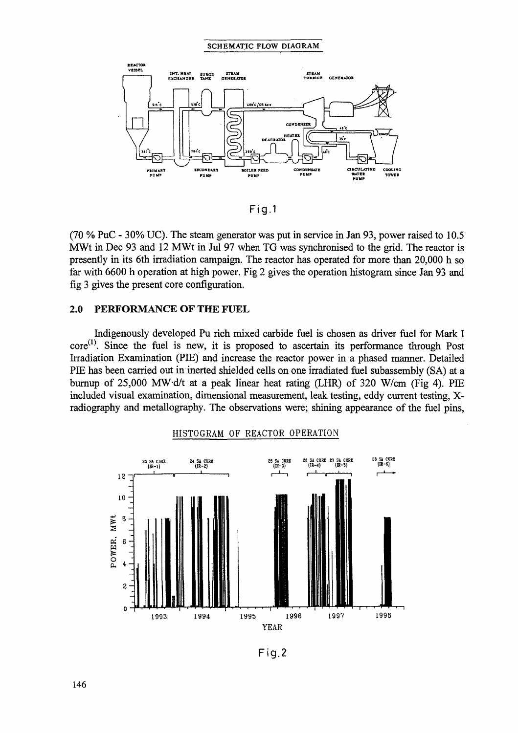

**Fig.1**

(70 % PuC - 30% UC). The steam generator was put in service in Jan 93, power raised to 10.5 MWt in Dec 93 and 12 MWt in Jul 97 when TG was synchronised to the grid. The reactor is presently in its 6th irradiation campaign. The reactor has operated for more than 20,000 h so far with 6600 h operation at high power. Fig 2 gives the operation histogram since Jan 93 and fig 3 gives the present core configuration.

### **2.0 PERFORMANCE OF THE FUEL**

Indigenously developed Pu rich mixed carbide fuel is chosen as driver fuel for Mark I core<sup>(1)</sup>. Since the fuel is new, it is proposed to ascertain its performance through Post Irradiation Examination (PIE) and increase the reactor power in a phased manner. Detailed PIE has been carried out in inerted shielded cells on one irradiated fuel subassembly (SA) at a burnup of 25,000 MW-d/t at a peak linear heat rating (LHR) of 320 W/cm (Fig 4). PIE included visual examination, dimensional measurement, leak testing, eddy current testing, Xradiography and metallography. The observations were; shining appearance of the fuel pins,



#### HISTOGRAM OF REACTOR OPERATION

Fig. 2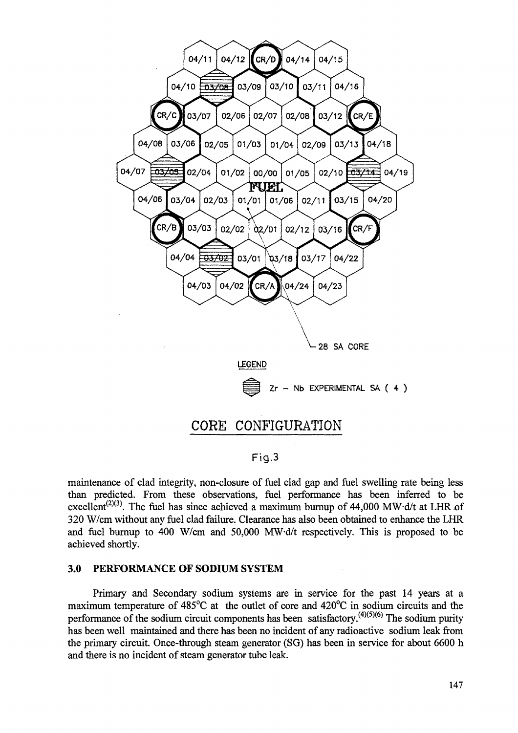

# Fig.3

maintenance of clad integrity, non-closure of fuel clad gap and fuel swelling rate being less than predicted. From these observations, fuel performance has been inferred to be excellent<sup>(2)(3)</sup>. The fuel has since achieved a maximum burnup of 44,000 MW·d/t at LHR of 320 W/cm without any fuel clad failure. Clearance has also been obtained to enhance the LHR and fuel burnup to 400 W/cm and 50,000 MW-d/t respectively. This is proposed to be achieved shortly.

# **3.0 PERFORMANCE OF SODIUM SYSTEM**

Primary and Secondary sodium systems are in service for the past 14 years at a maximum temperature of  $485^{\circ}$ C at the outlet of core and  $420^{\circ}$ C in sodium circuits and the performance of the sodium circuit components has been satisfactory.<sup> $(4)(5)(6)$ </sup> The sodium purity has been well maintained and there has been no incident of any radioactive sodium leak from the primary circuit. Once-through steam generator (SG) has been in service for about 6600 h and there is no incident of steam generator tube leak.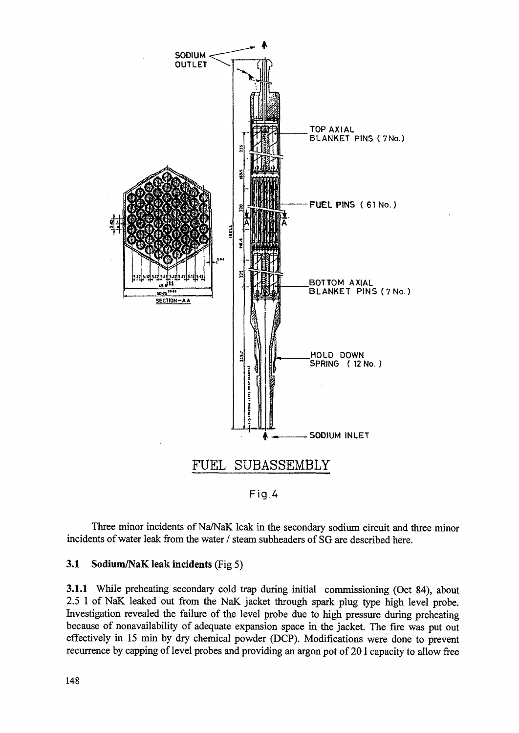

Fig.

Three minor incidents of Na/NaK leak in the secondary sodium circuit and three minor incidents of water leak from the water / steam subheaders of SG are described here.

### **3.1 Sodium/NaK leak incidents** (Fig 5)

**3.1.1** While preheating secondary cold trap during initial commissioning (Oct 84), about 2.5 1 of NaK leaked out from the NaK jacket through spark plug type high level probe. Investigation revealed the failure of the level probe due to high pressure during preheating because of nonavailability of adequate expansion space in the jacket. The fire was put out effectively in 15 min by dry chemical powder (DCP). Modifications were done to prevent recurrence by capping of level probes and providing an argon pot of 201 capacity to allow free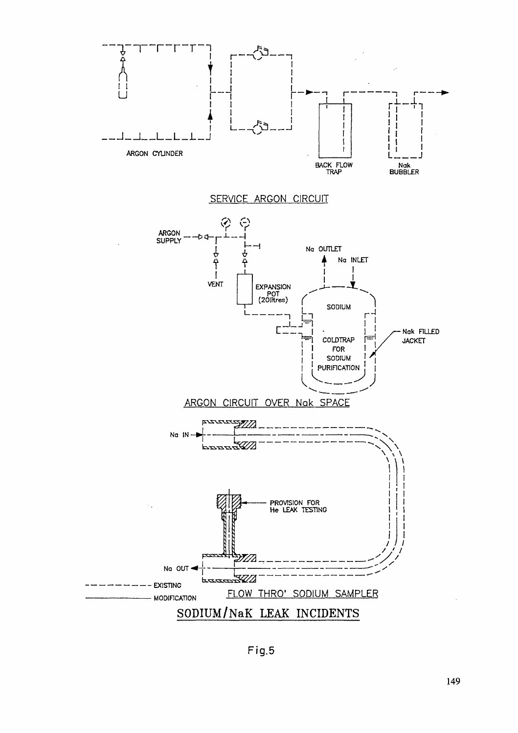

Fig.5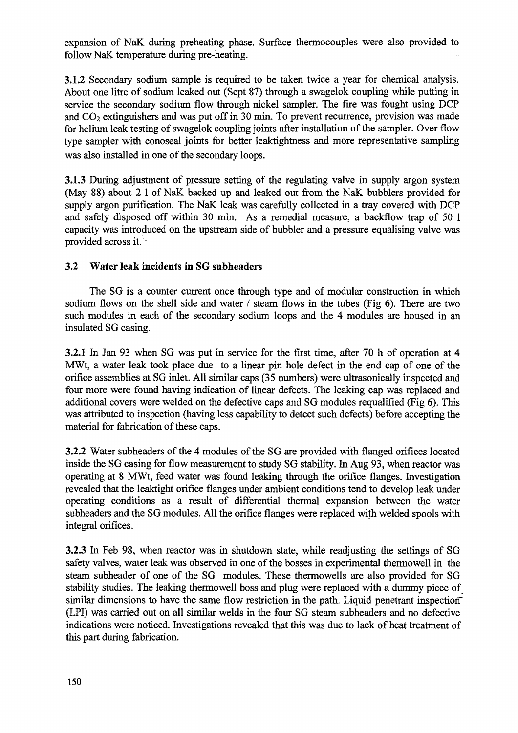expansion of NaK during preheating phase. Surface thermocouples were also provided to follow NaK temperature during pre-heating.

3.1.2 Secondary sodium sample is required to be taken twice a year for chemical analysis. About one litre of sodium leaked out (Sept 87) through a swagelok coupling while putting in service the secondary sodium flow through nickel sampler. The fire was fought using DCP and  $CO<sub>2</sub>$  extinguishers and was put off in 30 min. To prevent recurrence, provision was made for helium leak testing of swagelok coupling joints after installation of the sampler. Over flow type sampler with conoseal joints for better leaktightness and more representative sampling was also installed in one of the secondary loops.

**3.1.3** During adjustment of pressure setting of the regulating valve in supply argon system (May 88) about 2 1 of NaK backed up and leaked out from the NaK bubblers provided for supply argon purification. The NaK leak was carefully collected in a tray covered with DCP and safely disposed off within 30 min. As a remedial measure, a backflow trap of 50 1 capacity was introduced on the upstream side of bubbler and a pressure equalising valve was provided across it.

# **3.2 Water leak incidents in SG subheaders**

The SG is a counter current once through type and of modular construction in which sodium flows on the shell side and water / steam flows in the tubes (Fig 6). There are two such modules in each of the secondary sodium loops and the 4 modules are housed in an insulated SG casing.

3.2.1 In Jan 93 when SG was put in service for the first time, after 70 h of operation at 4 MWt, a water leak took place due to a linear pin hole defect in the end cap of one of the orifice assemblies at SG inlet. All similar caps (35 numbers) were ultrasonically inspected and four more were found having indication of linear defects. The leaking cap was replaced and additional covers were welded on the defective caps and SG modules requalified (Fig 6). This was attributed to inspection (having less capability to detect such defects) before accepting the material for fabrication of these caps.

3.2.2 Water subheaders of the 4 modules of the SG are provided with flanged orifices located inside the SG casing for flow measurement to study SG stability. In Aug 93, when reactor was operating at 8 MWt, feed water was found leaking through the orifice flanges. Investigation revealed that the leaktight orifice flanges under ambient conditions tend to develop leak under operating conditions as a result of differential thermal expansion between the water subheaders and the SG modules. All the orifice flanges were replaced with welded spools with integral orifices.

3.2.3 hi Feb 98, when reactor was in shutdown state, while readjusting the settings of SG safety valves, water leak was observed in one of the bosses in experimental thermowell in the steam subheader of one of the SG modules. These thermowells are also provided for SG stability studies. The leaking thermowell boss and plug were replaced with a dummy piece of similar dimensions to have the same flow restriction in the path. Liquid penetrant inspection (LPI) was carried out on all similar welds in the four SG steam subheaders and no defective indications were noticed. Investigations revealed that this was due to lack of heat treatment of this part during fabrication.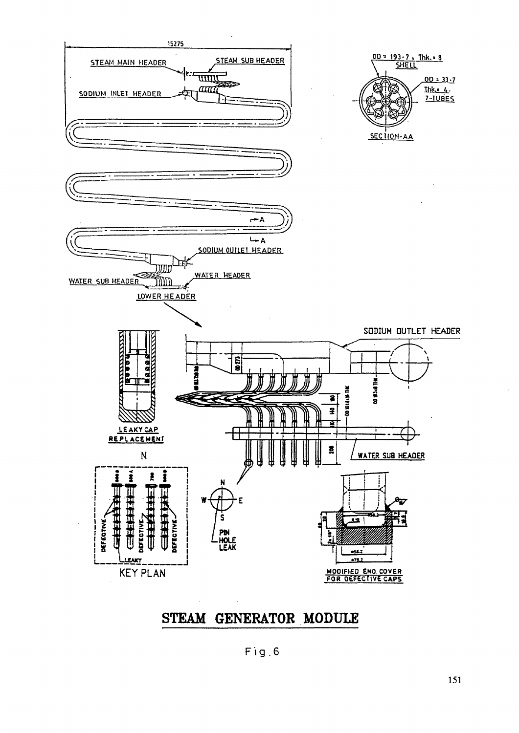

# STEAM GENERATOR MODULE

Fig.6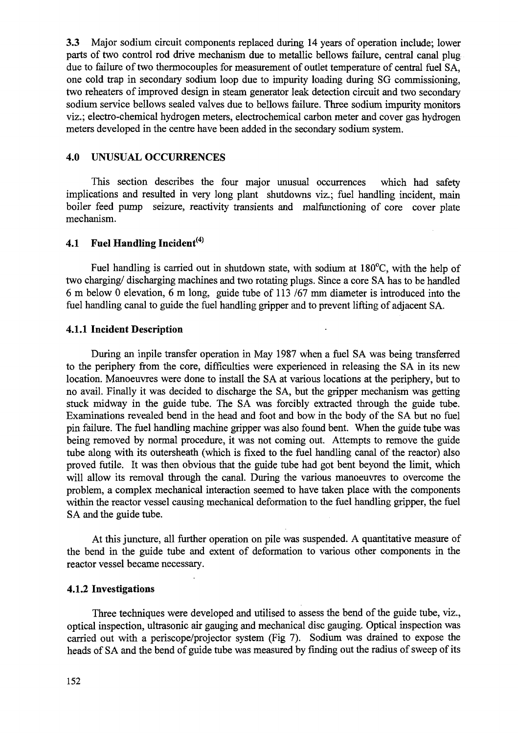3.3 Major sodium circuit components replaced during 14 years of operation include; lower parts of two control rod drive mechanism due to metallic bellows failure, central canal plug due to failure of two thermocouples for measurement of outlet temperature of central fuel SA, one cold trap in secondary sodium loop due to impurity loading during SG commissioning, two reheaters of improved design in steam generator leak detection circuit and two secondary sodium service bellows sealed valves due to bellows failure. Three sodium impurity monitors viz.; electro-chemical hydrogen meters, electrochemical carbon meter and cover gas hydrogen meters developed in the centre have been added in the secondary sodium system.

### 4.0 UNUSUAL **OCCURRENCES**

This section describes the four major unusual occurrences which had safety implications and resulted in very long plant shutdowns viz.; fuel handling incident, main boiler feed pump seizure, reactivity transients and malfunctioning of core cover plate mechanism.

# **4.1 Fuel Handling Incident(4)**

Fuel handling is carried out in shutdown state, with sodium at 180°C, with the help of two charging/ discharging machines and two rotating plugs. Since a core SA has to be handled 6 m below 0 elevation, 6 m long, guide tube of 113 *161* mm diameter is introduced into the fuel handling canal to guide the fuel handling gripper and to prevent lifting of adjacent SA.

### **4.1.1 Incident Description**

During an inpile transfer operation in May 1987 when a fuel SA was being transferred to the periphery from the core, difficulties were experienced in releasing the SA in its new location. Manoeuvres were done to install the SA at various locations at the periphery, but to no avail. Finally it was decided to discharge the SA, but the gripper mechanism was getting stuck midway in the guide tube. The SA was forcibly extracted through the guide rube. Examinations revealed bend in the head and foot and bow in the body of the SA but no fuel pin failure. The fuel handling machine gripper was also found bent. When the guide tube was being removed by normal procedure, it was not coming out. Attempts to remove the guide tube along with its outersheath (which is fixed to the fuel handling canal of the reactor) also proved futile. It was then obvious that the guide tube had got bent beyond the limit, which will allow its removal through the canal. During the various manoeuvres to overcome the problem, a complex mechanical interaction seemed to have taken place with the components within the reactor vessel causing mechanical deformation to the fuel handling gripper, the fuel SA and the guide tube.

At this juncture, all further operation on pile was suspended. A quantitative measure of the bend in the guide tube and extent of deformation to various other components in the reactor vessel became necessary.

#### **4.1.2 Investigations**

Three techniques were developed and utilised to assess the bend of the guide tube, viz., optical inspection, ultrasonic air gauging and mechanical disc gauging. Optical inspection was carried out with a periscope/projector system (Fig 7). Sodium was drained to expose the heads of SA and the bend of guide tube was measured by finding out the radius of sweep of its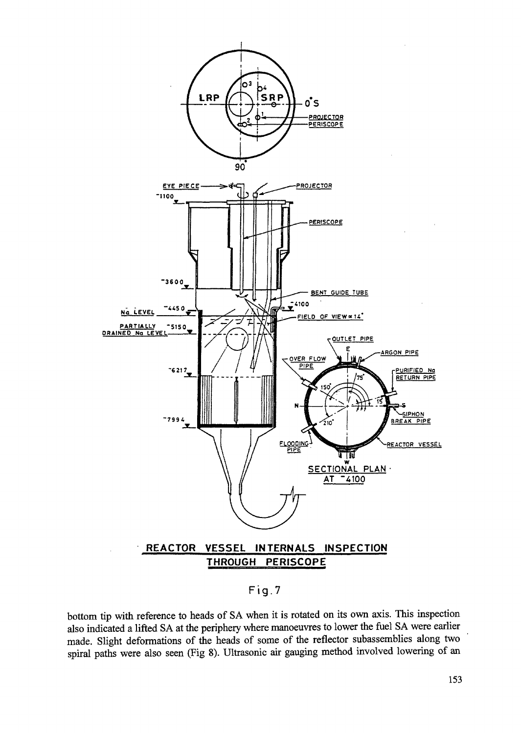

# **F i g. 7**

bottom tip with reference to heads of SA when it is rotated on its own axis. This inspection also indicated a lifted SA at the periphery where manoeuvres to lower the fuel SA were earlier made. Slight deformations of the heads of some of the reflector subassemblies along two spiral paths were also seen (Fig 8). Ultrasonic air gauging method involved lowering of an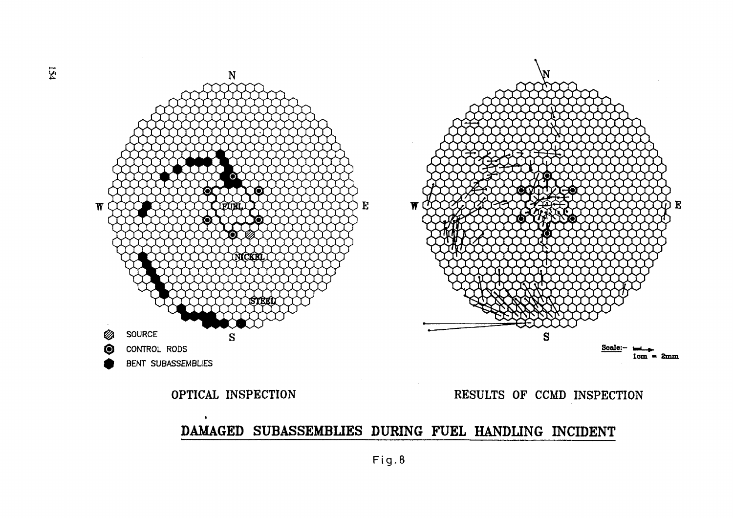

Fig.8

OPTICAL INSPECTION RESULTS OF CCMD INSPECTION

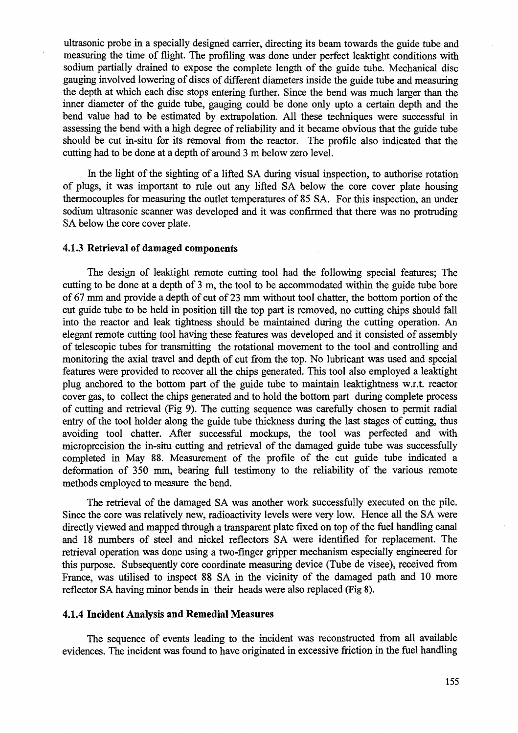ultrasonic probe in a specially designed carrier, directing its beam towards the guide tube and measuring the time of flight. The profiling was done under perfect leaktight conditions with sodium partially drained to expose the complete length of the guide tube. Mechanical disc gauging involved lowering of discs of different diameters inside the guide tube and measuring the depth at which each disc stops entering further. Since the bend was much larger than the inner diameter of the guide tube, gauging could be done only upto a certain depth and the bend value had to be estimated by extrapolation. All these techniques were successful in assessing the bend with a high degree of reliability and it became obvious that the guide tube should be cut in-situ for its removal from the reactor. The profile also indicated that the cutting had to be done at a depth of around 3 m below zero level.

In the light of the sighting of a lifted SA during visual inspection, to authorise rotation of plugs, it was important to rule out any lifted SA below the core cover plate housing thermocouples for measuring the outlet temperatures of 85 SA. For this inspection, an under sodium ultrasonic scanner was developed and it was confirmed that there was no protruding SA below the core cover plate.

# **4.1.3 Retrieval of damaged components**

The design of leaktight remote cutting tool had the following special features; The cutting to be done at a depth of 3 m, the tool to be accommodated within the guide tube bore of 67 mm and provide a depth of cut of 23 mm without tool chatter, the bottom portion of the cut guide tube to be held in position till the top part is removed, no cutting chips should fall into the reactor and leak tightness should be maintained during the cutting operation. An elegant remote cutting tool having these features was developed and it consisted of assembly of telescopic tubes for transmitting the rotational movement to the tool and controlling and monitoring the axial travel and depth of cut from the top. No lubricant was used and special features were provided to recover all the chips generated. This tool also employed a leaktight plug anchored to the bottom part of the guide tube to maintain leaktightness w.r.t. reactor cover gas, to collect the chips generated and to hold the bottom part during complete process of cutting and retrieval (Fig 9). The cutting sequence was carefully chosen to permit radial entry of the tool holder along the guide tube thickness during the last stages of cutting, thus avoiding tool chatter. After successful mockups, the tool was perfected and with microprecision the in-situ cutting and retrieval of the damaged guide tube was successfully completed in May 88. Measurement of the profile of the cut guide tube indicated a deformation of 350 mm, bearing full testimony to the reliability of the various remote methods employed to measure the bend.

The retrieval of the damaged SA was another work successfully executed on the pile. Since the core was relatively new, radioactivity levels were very low. Hence all the SA were directly viewed and mapped through a transparent plate fixed on top of the fuel handling canal and 18 numbers of steel and nickel reflectors SA were identified for replacement. The retrieval operation was done using a two-finger gripper mechanism especially engineered for this purpose. Subsequently core coordinate measuring device (Tube de visee), received from France, was utilised to inspect 88 SA in the vicinity of the damaged path and 10 more reflector SA having minor bends in their heads were also replaced (Fig 8).

#### **4.1.4 Incident Analysis and Remedial Measures**

The sequence of events leading to the incident was reconstructed from all available evidences. The incident was found to have originated in excessive friction in the fuel handling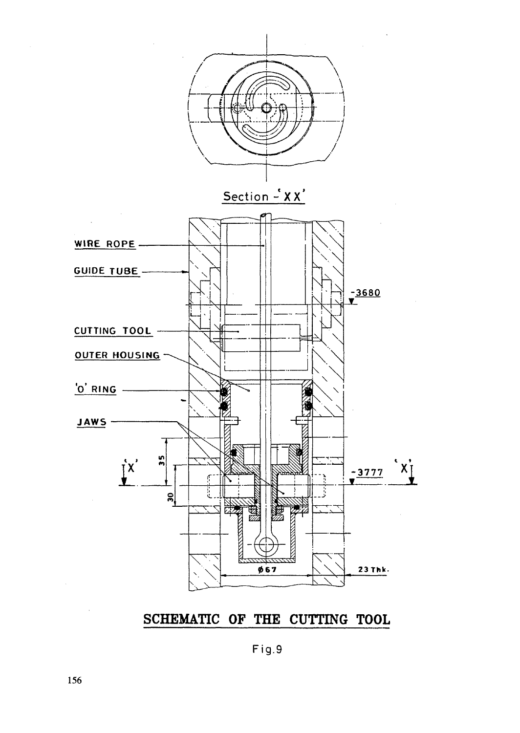

# SCHEMATIC OF THE CUTTING TOOL

Fig.9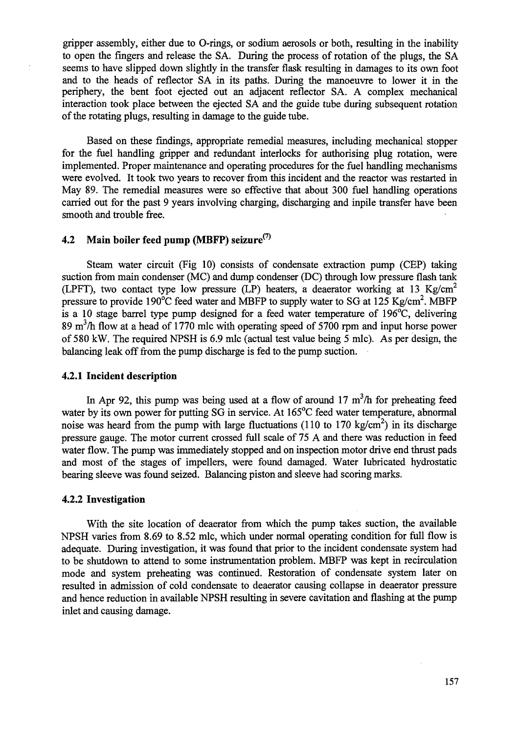gripper assembly, either due to O-rings, or sodium aerosols or both, resulting in the inability to open the fingers and release the SA. During the process of rotation of the plugs, the SA seems to have slipped down slightly in the transfer flask resulting in damages to its own foot and to the heads of reflector SA in its paths. During the manoeuvre to lower it in the periphery, the bent foot ejected out an adjacent reflector SA. A complex mechanical interaction took place between the ejected SA and the guide tube during subsequent rotation of the rotating plugs, resulting in damage to the guide tube.

Based on these findings, appropriate remedial measures, including mechanical stopper for the fuel handling gripper and redundant interlocks for authorising plug rotation, were implemented. Proper maintenance and operating procedures for the fuel handling mechanisms were evolved. It took two years to recover from this incident and the reactor was restarted in May 89. The remedial measures were so effective that about 300 fuel handling operations carried out for the past 9 years involving charging, discharging and inpile transfer have been smooth and trouble free.

# **4.2 Main boiler feed pump (MBFP) seizure(7)**

Steam water circuit (Fig 10) consists of condensate extraction pump (CEP) taking suction from main condenser (MC) and dump condenser (DC) through low pressure flash tank (LPFT), two contact type low pressure (LP) heaters, a deaerator working at 13 Kg/cm<sup>2</sup> pressure to provide 190°C feed water and MBFP to supply water to SG at 125 Kg/cm<sup>2</sup>. MBFP is a 10 stage barrel type pump designed for a feed water temperature of 196°C, delivering 89 m<sup>3</sup>/h flow at a head of 1770 mlc with operating speed of 5700 rpm and input horse power of 580 kW. The required NPSH is 6.9 mlc (actual test value being 5 mlc). As per design, the balancing leak off from the pump discharge is fed to the pump suction.

#### **4.2.1 Incident description**

In Apr 92, this pump was being used at a flow of around 17  $m<sup>3</sup>/h$  for preheating feed water by its own power for putting SG in service. At 165<sup>o</sup>C feed water temperature, abnormal noise was heard from the pump with large fluctuations (110 to 170 kg/cm<sup>2</sup>) in its discharge pressure gauge. The motor current crossed full scale of 75 A and there was reduction in feed water flow. The pump was immediately stopped and on inspection motor drive end thrust pads and most of the stages of impellers, were found damaged. Water lubricated hydrostatic bearing sleeve was found seized. Balancing piston and sleeve had scoring marks.

# **4.2.2 Investigation**

With the site location of deaerator from which the pump takes suction, the available NPSH varies from 8.69 to 8.52 mlc, which under normal operating condition for full flow is adequate. During investigation, it was found that prior to the incident condensate system had to be shutdown to attend to some instrumentation problem. MBFP was kept in recirculation mode and system preheating was continued. Restoration of condensate system later on resulted in admission of cold condensate to deaerator causing collapse in deaerator pressure and hence reduction in available NPSH resulting in severe cavitation and flashing at the pump inlet and causing damage.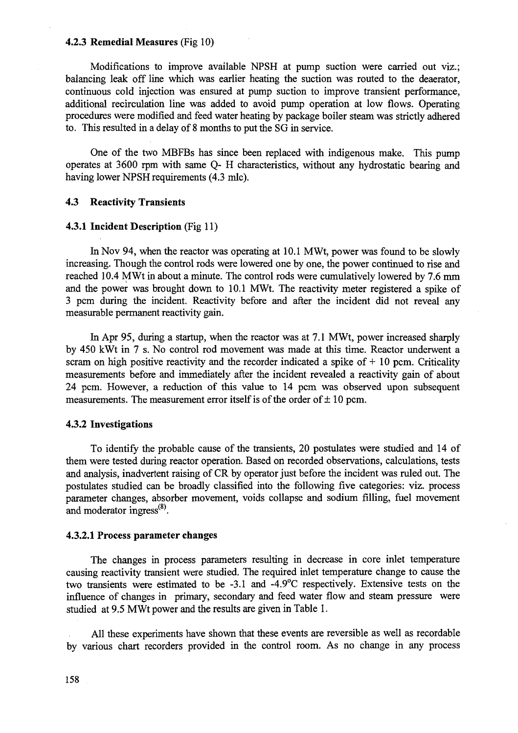#### **4.2.3 Remedial Measures** (Fig 10)

Modifications to improve available NPSH at pump suction were carried out viz.; balancing leak off line which was earlier heating the suction was routed to the deaerator, continuous cold injection was ensured at pump suction to improve transient performance, additional recirculation line was added to avoid pump operation at low flows. Operating procedures were modified and feed water heating by package boiler steam was strictly adhered to. This resulted in a delay of 8 months to put the SG in service.

One of the two MBFBs has since been replaced with indigenous make. This pump operates at 3600 rpm with same Q- H characteristics, without any hydrostatic bearing and having lower NPSH requirements (4.3 mlc).

#### **4.3 Reactivity Transients**

#### **4.3.1 Incident Description** (Fig 11)

In Nov 94, when the reactor was operating at 10.1 MWt, power was found to be slowly increasing. Though the control rods were lowered one by one, the power continued to rise and reached 10.4 MWt in about a minute. The control rods were cumulatively lowered by 7.6 mm and the power was brought down to 10.1 MWt. The reactivity meter registered a spike of 3 pcm during the incident. Reactivity before and after the incident did not reveal any measurable permanent reactivity gain.

In Apr 95, during a startup, when the reactor was at 7.1 MWt, power increased sharply by 450 kWt in 7 s. No control rod movement was made at this time. Reactor underwent a scram on high positive reactivity and the recorder indicated a spike of  $+10$  pcm. Criticality measurements before and immediately after the incident revealed a reactivity gain of about 24 pcm. However, a reduction of this value to 14 pcm was observed upon subsequent measurements. The measurement error itself is of the order of  $\pm 10$  pcm.

#### **4.3.2 Investigations**

To identify the probable cause of the transients, 20 postulates were studied and 14 of them were tested during reactor operation. Based on recorded observations, calculations, tests and analysis, inadvertent raising of CR by operator just before the incident was ruled out. The postulates studied can be broadly classified into the following five categories: viz. process parameter changes, absorber movement, voids collapse and sodium filling, fuel movement and moderator ingress<sup>(8)</sup>.

#### **4.3.2.1 Process parameter changes**

The changes in process parameters resulting in decrease in core inlet temperature causing reactivity transient were studied. The required inlet temperature change to cause the two transients were estimated to be -3.1 and -4.9°C respectively. Extensive tests on the influence of changes in primary, secondary and feed water flow and steam pressure were studied at 9.5 MWt power and the results are given in Table 1.

All these experiments have shown that these events are reversible as well as recordable by various chart recorders provided in the control room. As no change in any process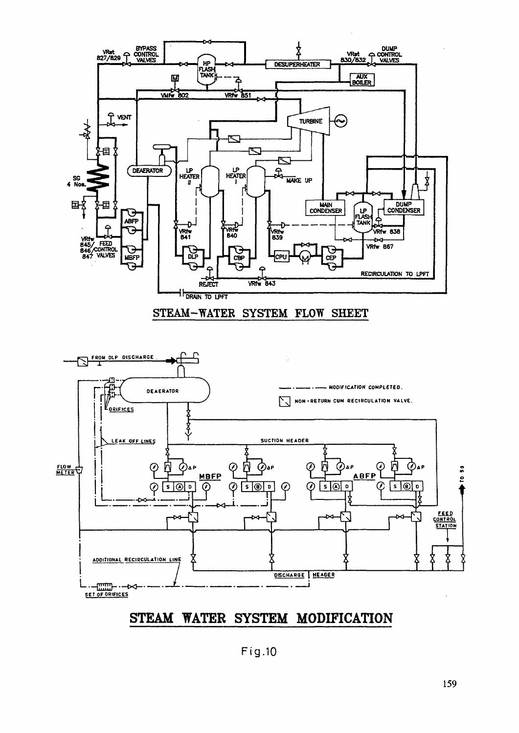

# STEAM WATER SYSTEM MODIFICATION

 $Fig.10$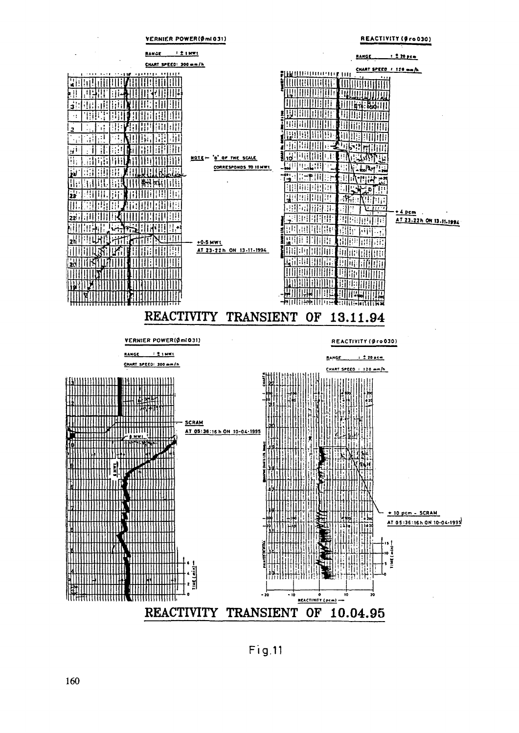

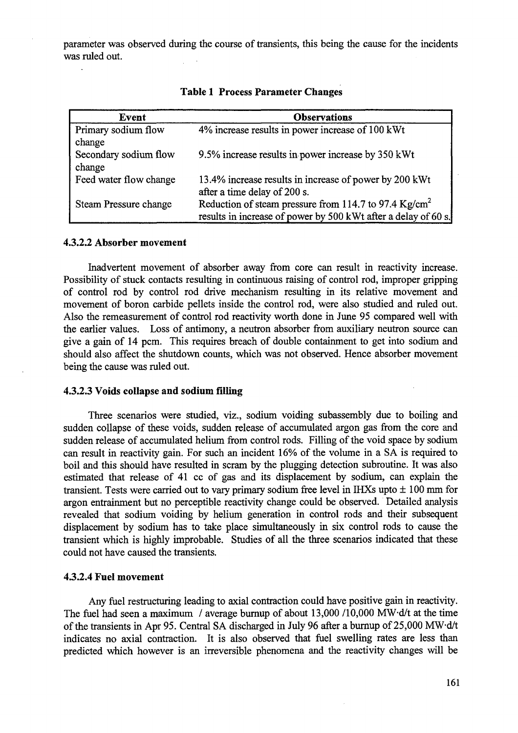parameter was observed during the course of transients, this being the cause for the incidents was ruled out.

| Event                           | <b>Observations</b>                                                                                                       |
|---------------------------------|---------------------------------------------------------------------------------------------------------------------------|
| Primary sodium flow<br>change   | 4% increase results in power increase of 100 kWt                                                                          |
| Secondary sodium flow<br>change | 9.5% increase results in power increase by 350 kWt                                                                        |
| Feed water flow change          | 13.4% increase results in increase of power by 200 kWt<br>after a time delay of 200 s.                                    |
| Steam Pressure change           | Reduction of steam pressure from 114.7 to 97.4 $Kg/cm2$<br>results in increase of power by 500 kWt after a delay of 60 s. |

**Table 1 Process Parameter Changes**

#### **4.3.2.2 Absorber movement**

Inadvertent movement of absorber away from core can result in reactivity increase. Possibility of stuck contacts resulting in continuous raising of control rod, improper gripping of control rod by control rod drive mechanism resulting in its relative movement and movement of boron carbide pellets inside the control rod, were also studied and ruled out. Also the remeasurement of control rod reactivity worth done in June 95 compared well with the earlier values. Loss of antimony, a neutron absorber from auxiliary neutron source can give a gain of 14 pern. This requires breach of double containment to get into sodium and should also affect the shutdown counts, which was not observed. Hence absorber movement being the cause was ruled out.

#### **4.3.2.3 Voids collapse and sodium filling**

Three scenarios were studied, viz., sodium voiding subassembly due to boiling and sudden collapse of these voids, sudden release of accumulated argon gas from the core and sudden release of accumulated helium from control rods. Filling of the void space by sodium can result in reactivity gain. For such an incident 16% of the volume in a SA is required to boil and this should have resulted in scram by the plugging detection subroutine. It was also estimated that release of 41 cc of gas and its displacement by sodium, can explain the transient. Tests were carried out to vary primary sodium free level in IHXs upto  $\pm 100$  mm for argon entrainment but no perceptible reactivity change could be observed. Detailed analysis revealed that sodium voiding by helium generation in control rods and their subsequent displacement by sodium has to take place simultaneously in six control rods to cause the transient which is highly improbable. Studies of all the three scenarios indicated that these could not have caused the transients.

#### **4.3.2.4 Fuel movement**

Any fuel restructuring leading to axial contraction could have positive gain in reactivity. The fuel had seen a maximum / average burnup of about 13,000 /10,000 MW-d/t at the time of the transients in Apr 95. Central SA discharged in July 96 after a burnup of 25,000 MW-d/t indicates no axial contraction. It is also observed that fuel swelling rates are less than predicted which however is an irreversible phenomena and the reactivity changes will be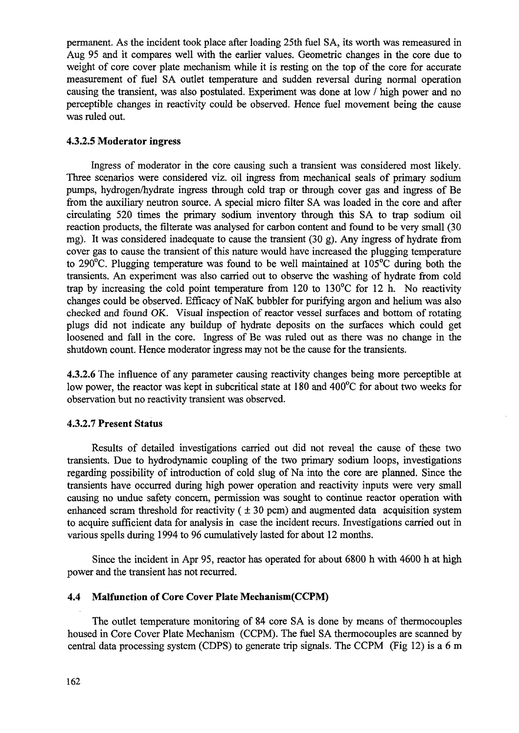permanent. As the incident took place after loading 25th fuel SA, its worth was remeasured in Aug 95 and it compares well with the earlier values. Geometric changes in the core due to weight of core cover plate mechanism while it is resting on the top of the core for accurate measurement of fuel SA outlet temperature and sudden reversal during normal operation causing the transient, was also postulated. Experiment was done at low / high power and no perceptible changes in reactivity could be observed. Hence fuel movement being the cause was ruled out.

# **4.3.2.5 Moderator ingress**

Ingress of moderator in the core causing such a transient was considered most likely. Three scenarios were considered viz. oil ingress from mechanical seals of primary sodium pumps, hydrogen/hydrate ingress through cold trap or through cover gas and ingress of Be from the auxiliary neutron source. A special micro filter SA was loaded in the core and after circulating 520 times the primary sodium inventory through this SA to trap sodium oil reaction products, the filterate was analysed for carbon content and found to be very small (30 mg). It was considered inadequate to cause the transient (30 g). Any ingress of hydrate from cover gas to cause the transient of this nature would have increased the plugging temperature to 290°C. Plugging temperature was found to be well maintained at 105°C during both the transients. An experiment was also carried out to observe the washing of hydrate from cold trap by increasing the cold point temperature from 120 to 130°C for 12 h. No reactivity changes could be observed. Efficacy of NaK bubbler for purifying argon and helium was also checked and found OK. Visual inspection of reactor vessel surfaces and bottom of rotating plugs did not indicate any buildup of hydrate deposits on the surfaces which could get loosened and fall in the core. Ingress of Be was ruled out as there was no change in the shutdown count. Hence moderator ingress may not be the cause for the transients.

4.3.2.6 The influence of any parameter causing reactivity changes being more perceptible at low power, the reactor was kept in subcritical state at 180 and 400°C for about two weeks for observation but no reactivity transient was observed.

# **4.3.2.7 Present Status**

Results of detailed investigations carried out did not reveal the cause of these two transients. Due to hydrodynamic coupling of the two primary sodium loops, investigations regarding possibility of introduction of cold slug of Na into the core are planned. Since the transients have occurred during high power operation and reactivity inputs were very small causing no undue safety concern, permission was sought to continue reactor operation with enhanced scram threshold for reactivity ( $\pm 30$  pcm) and augmented data acquisition system to acquire sufficient data for analysis in case the incident recurs. Investigations carried out in various spells during 1994 to 96 cumulatively lasted for about 12 months.

Since the incident in Apr 95, reactor has operated for about 6800 h with 4600 h at high power and the transient has not recurred.

# **4.4 Malfunction of Core Cover Plate Mechanism(CCPM)**

The outlet temperature monitoring of 84 core SA is done by means of thermocouples housed in Core Cover Plate Mechanism (CCPM). The fuel SA thermocouples are scanned by central data processing system (CDPS) to generate trip signals. The CCPM (Fig 12) is a 6 m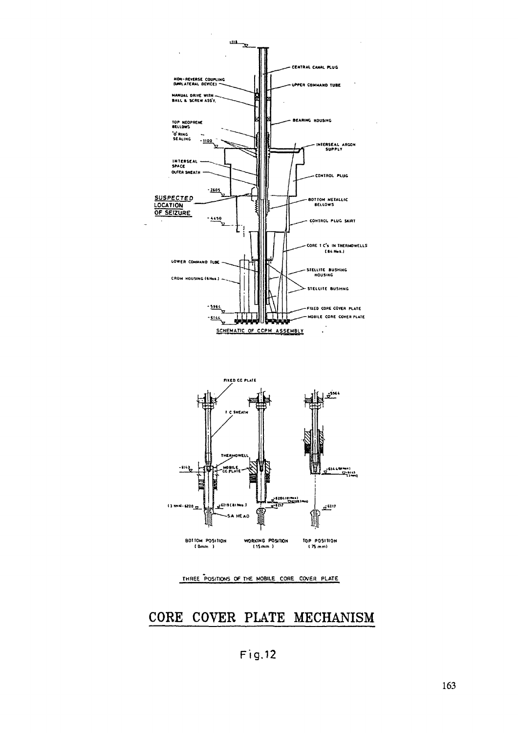# CORE COVER PLATE MECHANISM

THREE POSITIONS OF THE MOBILE CORE COVER PLATE



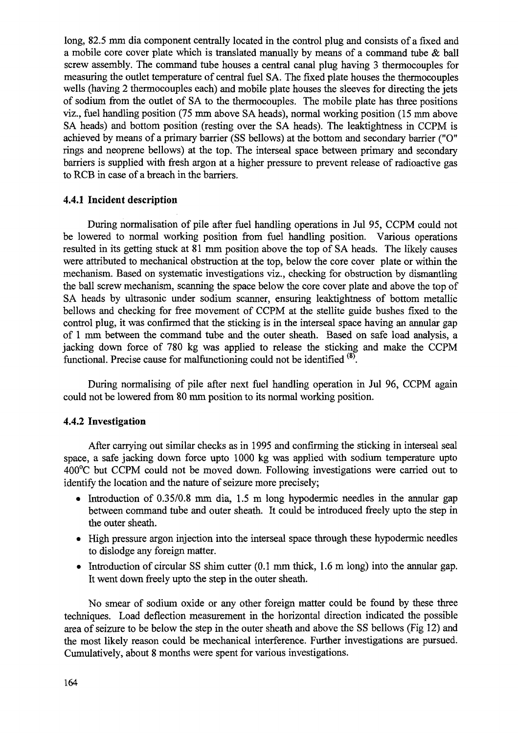long, 82.5 mm dia component centrally located in the control plug and consists of a fixed and a mobile core cover plate which is translated manually by means of a command tube & ball screw assembly. The command tube houses a central canal plug having 3 thermocouples for measuring the outlet temperature of central fuel SA. The fixed plate houses the thermocouples wells (having 2 thermocouples each) and mobile plate houses the sleeves for directing the jets of sodium from the outlet of SA to the thermocouples. The mobile plate has three positions viz., fuel handling position (75 mm above SA heads), normal working position (15 mm above SA heads) and bottom position (resting over the SA heads). The leaktightness in CCPM is achieved by means of a primary barrier (SS bellows) at the bottom and secondary barrier ("O" rings and neoprene bellows) at the top. The interseal space between primary and secondary barriers is supplied with fresh argon at a higher pressure to prevent release of radioactive gas to RCB in case of a breach in the barriers.

# **4.4.1 Incident description**

During normalisation of pile after fuel handling operations in Jul 95, CCPM could not be lowered to normal working position from fuel handling position. Various operations resulted in its getting stuck at 81 mm position above the top of SA heads. The likely causes were attributed to mechanical obstruction at the top, below the core cover plate or within the mechanism. Based on systematic investigations viz., checking for obstruction by dismantling the ball screw mechanism, scanning the space below the core cover plate and above the top of SA heads by ultrasonic under sodium scanner, ensuring leaktightness of bottom metallic bellows and checking for free movement of CCPM at the stellite guide bushes fixed to the control plug, it was confirmed that the sticking is in the interseal space having an annular gap of 1 mm between the command tube and the outer sheath. Based on safe load analysis, a jacking down force of 780 kg was applied to release the sticking and make the CCPM functional. Precise cause for malfunctioning could not be identified  $^{(8)}$ .

During normalising of pile after next fuel handling operation in Jul 96, CCPM again could not be lowered from 80 mm position to its normal working position.

### 4.4.2 Investigation

After carrying out similar checks as in 1995 and confirming the sticking in interseal seal space, a safe jacking down force upto 1000 kg was applied with sodium temperature upto 400°C but CCPM could not be moved down. Following investigations were carried out to identify the location and the nature of seizure more precisely;

- Introduction of 0.35/0.8 mm dia, 1.5 m long hypodermic needles in the annular gap between command tube and outer sheath. It could be introduced freely upto the step in the outer sheath.
- High pressure argon injection into the interseal space through these hypodermic needles to dislodge any foreign matter.
- Introduction of circular SS shim cutter (0.1 mm thick, 1.6 m long) into the annular gap. It went down freely upto the step in the outer sheath.

No smear of sodium oxide or any other foreign matter could be found by these three techniques. Load deflection measurement in the horizontal direction indicated the possible area of seizure to be below the step in the outer sheath and above the SS bellows (Fig 12) and the most likely reason could be mechanical interference. Further investigations are pursued. Cumulatively, about 8 months were spent for various investigations.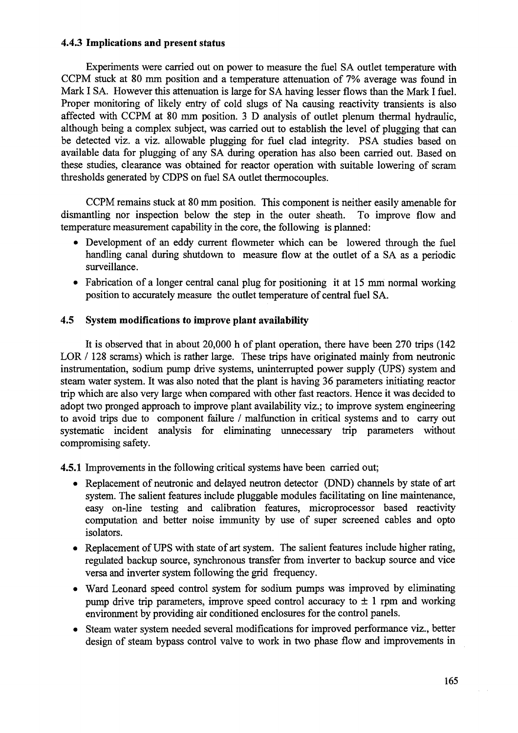# **4.4.3 Implications and present status**

Experiments were carried out on power to measure the fuel SA outlet temperature with CCPM stuck at 80 mm position and a temperature attenuation of 7% average was found in Mark I SA. However this attenuation is large for SA having lesser flows than the Mark I fuel. Proper monitoring of likely entry of cold slugs of Na causing reactivity transients is also affected with CCPM at 80 mm position. 3 D analysis of outlet plenum thermal hydraulic, although being a complex subject, was carried out to establish the level of plugging that can be detected viz. a viz. allowable plugging for fuel clad integrity. PSA studies based on available data for plugging of any SA during operation has also been carried out. Based on these studies, clearance was obtained for reactor operation with suitable lowering of scram thresholds generated by CDPS on fuel SA outlet thermocouples.

CCPM remains stuck at 80 mm position. This component is neither easily amenable for dismantling nor inspection below the step in the outer sheath. To improve flow and temperature measurement capability in the core, the following is planned:

- Development of an eddy current flowmeter which can be lowered through the fuel handling canal during shutdown to measure flow at the outlet of a SA as a periodic surveillance.
- Fabrication of a longer central canal plug for positioning it at 15 mm normal working position to accurately measure the outlet temperature of central fuel SA.

# **4.5 System modifications to improve plant availability**

It is observed that in about 20,000 h of plant operation, there have been 270 trips (142 LOR / 128 scrams) which is rather large. These trips have originated mainly from neutronic instrumentation, sodium pump drive systems, uninterrupted power supply (UPS) system and steam water system. It was also noted that the plant is having 36 parameters initiating reactor trip which are also very large when compared with other fast reactors. Hence it was decided to adopt two pronged approach to improve plant availability viz.; to improve system engineering to avoid trips due to component failure / malfunction in critical systems and to carry out systematic incident analysis for eliminating unnecessary trip parameters without compromising safety.

**4.5.1** Improvements in the following critical systems have been carried out;

- Replacement of neutronic and delayed neutron detector (DND) channels by state of art system. The salient features include pluggable modules facilitating on line maintenance, easy on-line testing and calibration features, microprocessor based reactivity computation and better noise immunity by use of super screened cables and opto isolators.
- Replacement of UPS with state of art system. The salient features include higher rating, regulated backup source, synchronous transfer from inverter to backup source and vice versa and inverter system following the grid frequency.
- Ward Leonard speed control system for sodium pumps was improved by eliminating pump drive trip parameters, improve speed control accuracy to  $\pm$  1 rpm and working environment by providing air conditioned enclosures for the control panels.
- Steam water system needed several modifications for improved performance viz., better design of steam bypass control valve to work in two phase flow and improvements in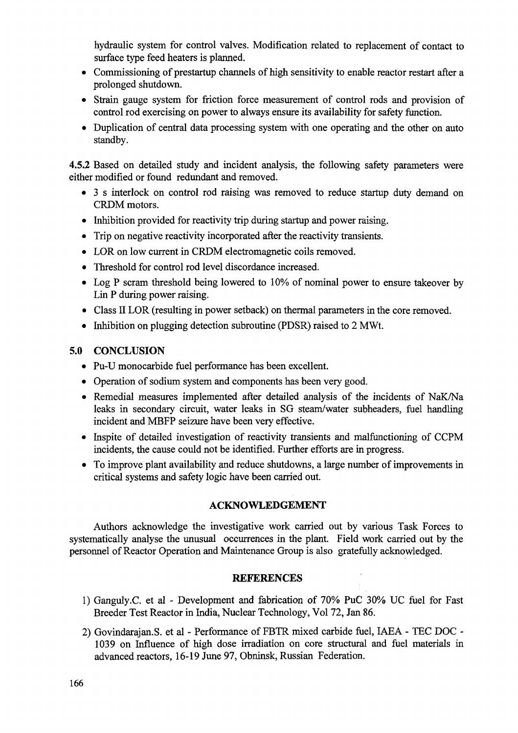hydraulic system for control valves. Modification related to replacement of contact to surface type feed heaters is planned.

- Commissioning of prestartup channels of high sensitivity to enable reactor restart after a prolonged shutdown.
- Strain gauge system for friction force measurement of control rods and provision of control rod exercising on power to always ensure its availability for safety function.
- Duplication of central data processing system with one operating and the other on auto standby.

**4.5.2** Based on detailed study and incident analysis, the following safety parameters were either modified or found redundant and removed.

- 3 s interlock on control rod raising was removed to reduce startup duty demand on CRDM motors.
- Inhibition provided for reactivity trip during startup and power raising.
- Trip on negative reactivity incorporated after the reactivity transients.
- LOR on low current in CRDM electromagnetic coils removed.
- Threshold for control rod level discordance increased.
- Log P scram threshold being lowered to 10% of nominal power to ensure takeover by Lin P during power raising.
- Class II LOR (resulting in power setback) on thermal parameters in the core removed.
- Inhibition on plugging detection subroutine (PDSR) raised to 2 MWt.

# **5.0 CONCLUSION**

- Pu-U monocarbide fuel performance has been excellent.
- Operation of sodium system and components has been very good.
- Remedial measures implemented after detailed analysis of the incidents of NaK/Na leaks in secondary circuit, water leaks in SG steam/water subheaders, fuel handling incident and MBFP seizure have been very effective.
- Inspite of detailed investigation of reactivity transients and malfunctioning of CCPM incidents, the cause could not be identified. Further efforts are in progress.
- To improve plant availability and reduce shutdowns, a large number of improvements in critical systems and safety logic have been carried out.

# **ACKNOWLEDGEMENT**

Authors acknowledge the investigative work carried out by various Task Forces to systematically analyse the unusual occurrences in the plant. Field work carried out by the personnel of Reactor Operation and Maintenance Group is also gratefully acknowledged.

# **REFERENCES**

- 1) Ganguly.C. et al Development and fabrication of 70% PuC 30% UC fuel for Fast Breeder Test Reactor in India, Nuclear Technology, Vol 72, Jan 86.
- 2) Govindarajan.S. et al Performance of FBTR mixed carbide fuel, IAEA TEC DOC 1039 on Influence of high dose irradiation on core structural and fuel materials in advanced reactors, 16-19 June 97, Obninsk, Russian Federation.